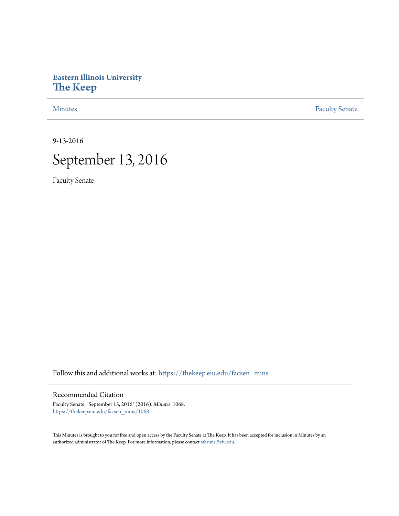## **Eastern Illinois University [The Keep](https://thekeep.eiu.edu?utm_source=thekeep.eiu.edu%2Ffacsen_mins%2F1068&utm_medium=PDF&utm_campaign=PDFCoverPages)**

[Minutes](https://thekeep.eiu.edu/facsen_mins?utm_source=thekeep.eiu.edu%2Ffacsen_mins%2F1068&utm_medium=PDF&utm_campaign=PDFCoverPages) **[Faculty Senate](https://thekeep.eiu.edu/fac_senate?utm_source=thekeep.eiu.edu%2Ffacsen_mins%2F1068&utm_medium=PDF&utm_campaign=PDFCoverPages)** 

9-13-2016



Faculty Senate

Follow this and additional works at: [https://thekeep.eiu.edu/facsen\\_mins](https://thekeep.eiu.edu/facsen_mins?utm_source=thekeep.eiu.edu%2Ffacsen_mins%2F1068&utm_medium=PDF&utm_campaign=PDFCoverPages)

## Recommended Citation

Faculty Senate, "September 13, 2016" (2016). *Minutes*. 1068. [https://thekeep.eiu.edu/facsen\\_mins/1068](https://thekeep.eiu.edu/facsen_mins/1068?utm_source=thekeep.eiu.edu%2Ffacsen_mins%2F1068&utm_medium=PDF&utm_campaign=PDFCoverPages)

This Minutes is brought to you for free and open access by the Faculty Senate at The Keep. It has been accepted for inclusion in Minutes by an authorized administrator of The Keep. For more information, please contact [tabruns@eiu.edu](mailto:tabruns@eiu.edu).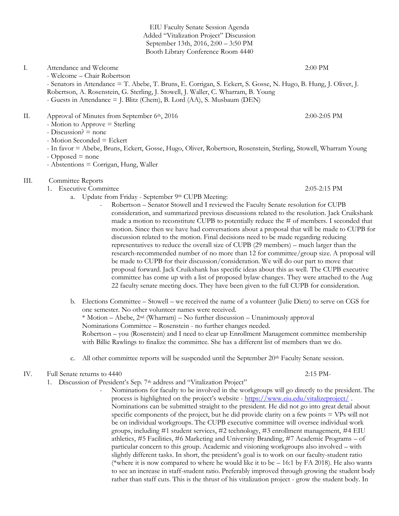EIU Faculty Senate Session Agenda Added "Vitalization Project" Discussion September 13th, 2016, 2:00 – 3:50 PM Booth Library Conference Room 4440

## I. Attendance and Welcome 2:00 PM

- Welcome – Chair Robertson

- Senators in Attendance = T. Abebe, T. Bruns, E. Corrigan, S. Eckert, S. Gosse, N. Hugo, B. Hung, J. Oliver, J. Robertson, A. Rosenstein, G. Sterling, J. Stowell, J. Waller, C. Wharram, B. Young - Guests in Attendance = J. Blitz (Chem), B. Lord (AA), S. Musbaum (DEN)

- II. Approval of Minutes from September 6<sup>th</sup>, 2016 2:00-2:05 PM
	- Motion to Approve = Sterling
	- Discussion? = none
	- Motion Seconded = Eckert

- In favor = Abebe, Bruns, Eckert, Gosse, Hugo, Oliver, Robertson, Rosenstein, Sterling, Stowell, Wharram Young

- Opposed = none
- Abstentions = Corrigan, Hung, Waller
- III. Committee Reports
	- 1. Executive Committee 2:05-2:15 PM
		- a. Update from Friday September 9th CUPB Meeting:
			- Robertson Senator Stowell and I reviewed the Faculty Senate resolution for CUPB consideration, and summarized previous discussions related to the resolution. Jack Cruikshank made a motion to reconstitute CUPB to potentially reduce the # of members. I seconded that motion. Since then we have had conversations about a proposal that will be made to CUPB for discussion related to the motion. Final decisions need to be made regarding reducing representatives to reduce the overall size of CUPB (29 members) – much larger than the research-recommended number of no more than 12 for committee/group size. A proposal will be made to CUPB for their discussion/consideration. We will do our part to move that proposal forward. Jack Cruikshank has specific ideas about this as well. The CUPB executive committee has come up with a list of proposed bylaw changes. They were attached to the Aug 22 faculty senate meeting docs. They have been given to the full CUPB for consideration.
		- b. Elections Committee Stowell we received the name of a volunteer (Julie Dietz) to serve on CGS for one semester. No other volunteer names were received. \* Motion – Abebe, 2nd (Wharram) – No further discussion – Unanimously approval Nominations Committee – Rosenstein - no further changes needed. Robertson – you (Rosenstein) and I need to clear up Enrollment Management committee membership with Billie Rawlings to finalize the committee. She has a different list of members than we do.
		- c. All other committee reports will be suspended until the September  $20<sup>th</sup>$  Faculty Senate session.
- IV. Full Senate returns to 4440 2:15 PM-
	- 1. Discussion of President's Sep. 7<sup>th</sup> address and "Vitalization Project"
		- Nominations for faculty to be involved in the workgroups will go directly to the president. The process is highlighted on the project's website - <https://www.eiu.edu/vitalizeproject/> . Nominations can be submitted straight to the president. He did not go into great detail about specific components of the project, but he did provide clarity on a few points = VPs will not be on individual workgroups. The CUPB executive committee will oversee individual work groups, including #1 student services, #2 technology, #3 enrollment management, #4 EIU athletics, #5 Facilities, #6 Marketing and University Branding, #7 Academic Programs – of particular concern to this group. Academic and visioning workgroups also involved – with slightly different tasks. In short, the president's goal is to work on our faculty-student ratio (\*where it is now compared to where he would like it to be  $-16:1$  by FA 2018). He also wants to see an increase in staff-student ratio. Preferably improved through growing the student body rather than staff cuts. This is the thrust of his vitalization project - grow the student body. In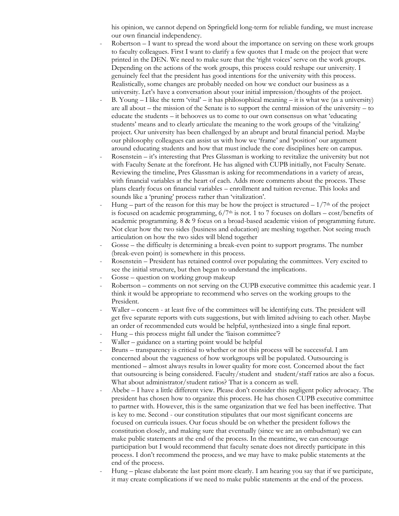his opinion, we cannot depend on Springfield long-term for reliable funding, we must increase our own financial independency.

- Robertson I want to spread the word about the importance on serving on these work groups to faculty colleagues. First I want to clarify a few quotes that I made on the project that were printed in the DEN. We need to make sure that the 'right voices' serve on the work groups. Depending on the actions of the work groups, this process could reshape our university. I genuinely feel that the president has good intentions for the university with this process. Realistically, some changes are probably needed on how we conduct our business as a university. Let's have a conversation about your initial impression/thoughts of the project.
- B. Young I like the term 'vital' it has philosophical meaning it is what we (as a university) are all about – the mission of the Senate is to support the central mission of the university – to educate the students – it behooves us to come to our own consensus on what 'educating students' means and to clearly articulate the meaning to the work groups of the 'vitalizing' project. Our university has been challenged by an abrupt and brutal financial period. Maybe our philosophy colleagues can assist us with how we 'frame' and 'position' our argument around educating students and how that must include the core disciplines here on campus.
- Rosenstein  $-$  it's interesting that Pres Glassman is working to revitalize the university but not with Faculty Senate at the forefront. He has aligned with CUPB initially, not Faculty Senate. Reviewing the timeline, Pres Glassman is asking for recommendations in a variety of areas, with financial variables at the heart of each. Adds more comments about the process. These plans clearly focus on financial variables – enrollment and tuition revenue. This looks and sounds like a 'pruning' process rather than 'vitalization'.
- Hung part of the reason for this may be how the project is structured  $-1/7<sup>th</sup>$  of the project is focused on academic programming,  $6/7<sup>th</sup>$  is not. 1 to 7 focuses on dollars – cost/benefits of academic programming. 8 & 9 focus on a broad-based academic vision of programming future. Not clear how the two sides (business and education) are meshing together. Not seeing much articulation on how the two sides will blend together
- Gosse the difficulty is determining a break-even point to support programs. The number (break-even point) is somewhere in this process.
- Rosenstein President has retained control over populating the committees. Very excited to see the initial structure, but then began to understand the implications.
- Gosse question on working group makeup
- Robertson comments on not serving on the CUPB executive committee this academic year. I think it would be appropriate to recommend who serves on the working groups to the President.
- Waller concern at least five of the committees will be identifying cuts. The president will get five separate reports with cuts suggestions, but with limited advising to each other. Maybe an order of recommended cuts would be helpful, synthesized into a single final report.
- Hung this process might fall under the 'liaison committee'?
- Waller guidance on a starting point would be helpful
- Bruns transparency is critical to whether or not this process will be successful. I am concerned about the vagueness of how workgroups will be populated. Outsourcing is mentioned – almost always results in lower quality for more cost. Concerned about the fact that outsourcing is being considered. Faculty/student and student/staff ratios are also a focus. What about administrator/student ratios? That is a concern as well.
- Abebe I have a little different view. Please don't consider this negligent policy advocacy. The president has chosen how to organize this process. He has chosen CUPB executive committee to partner with. However, this is the same organization that we feel has been ineffective. That is key to me. Second - our constitution stipulates that our most significant concerns are focused on curricula issues. Our focus should be on whether the president follows the constitution closely, and making sure that eventually (since we are an ombudsman) we can make public statements at the end of the process. In the meantime, we can encourage participation but I would recommend that faculty senate does not directly participate in this process. I don't recommend the process, and we may have to make public statements at the end of the process.
- Hung please elaborate the last point more clearly. I am hearing you say that if we participate, it may create complications if we need to make public statements at the end of the process.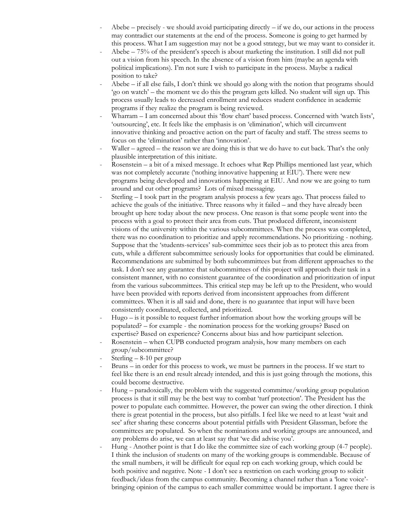- Abebe  $-$  precisely we should avoid participating directly  $-$  if we do, our actions in the process may contradict our statements at the end of the process. Someone is going to get harmed by this process. What I am suggestion may not be a good strategy, but we may want to consider it.
- Abebe 75% of the president's speech is about marketing the institution. I still did not pull out a vision from his speech. In the absence of a vision from him (maybe an agenda with political implications). I'm not sure I wish to participate in the process. Maybe a radical position to take?
- Abebe  $-$  if all else fails, I don't think we should go along with the notion that programs should 'go on watch' – the moment we do this the program gets killed. No student will sign up. This process usually leads to decreased enrollment and reduces student confidence in academic programs if they realize the program is being reviewed.
- Wharram I am concerned about this 'flow chart' based process. Concerned with 'watch lists', 'outsourcing', etc. It feels like the emphasis is on 'elimination', which will circumvent innovative thinking and proactive action on the part of faculty and staff. The stress seems to focus on the 'elimination' rather than 'innovation'.
- Waller agreed the reason we are doing this is that we do have to cut back. That's the only plausible interpretation of this initiate.
- Rosenstein a bit of a mixed message. It echoes what Rep Phillips mentioned last year, which was not completely accurate ('nothing innovative happening at EIU'). There were new programs being developed and innovations happening at EIU. And now we are going to turn around and cut other programs? Lots of mixed messaging.
- Sterling I took part in the program analysis process a few years ago. That process failed to achieve the goals of the initiative. Three reasons why it failed – and they have already been brought up here today about the new process. One reason is that some people went into the process with a goal to protect their area from cuts. That produced different, inconsistent visions of the university within the various subcommittees. When the process was completed, there was no coordination to prioritize and apply recommendations. No prioritizing - nothing. Suppose that the 'students-services' sub-committee sees their job as to protect this area from cuts, while a different subcommittee seriously looks for opportunities that could be eliminated. Recommendations are submitted by both subcommittees but from different approaches to the task. I don't see any guarantee that subcommittees of this project will approach their task in a consistent manner, with no consistent guarantee of the coordination and prioritization of input from the various subcommittees. This critical step may be left up to the President, who would have been provided with reports derived from inconsistent approaches from different committees. When it is all said and done, there is no guarantee that input will have been consistently coordinated, collected, and prioritized.
- $Hugo is it possible to request further information about how the working groups will be$ populated? – for example - the nomination process for the working groups? Based on expertise? Based on experience? Concerns about bias and how participant selection.
- Rosenstein when CUPB conducted program analysis, how many members on each group/subcommittee?
- Sterling 8-10 per group
- Bruns in order for this process to work, we must be partners in the process. If we start to feel like there is an end result already intended, and this is just going through the motions, this could become destructive.
- Hung paradoxically, the problem with the suggested committee/working group population process is that it still may be the best way to combat 'turf protection'. The President has the power to populate each committee. However, the power can swing the other direction. I think there is great potential in the process, but also pitfalls. I feel like we need to at least 'wait and see' after sharing these concerns about potential pitfalls with President Glassman, before the committees are populated. So when the nominations and working groups are announced, and any problems do arise, we can at least say that 'we did advise you'.
- Hung Another point is that I do like the committee size of each working group (4-7 people). I think the inclusion of students on many of the working groups is commendable. Because of the small numbers, it will be difficult for equal rep on each working group, which could be both positive and negative. Note - I don't see a restriction on each working group to solicit feedback/ideas from the campus community. Becoming a channel rather than a 'lone voice' bringing opinion of the campus to each smaller committee would be important. I agree there is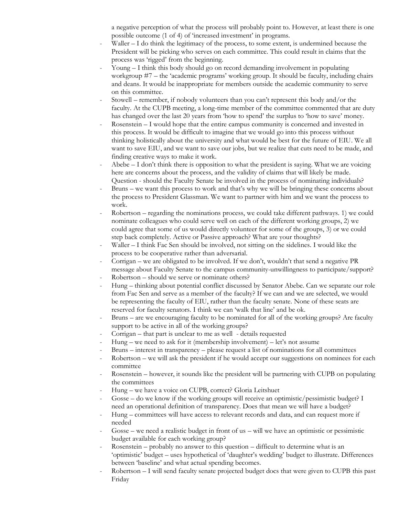a negative perception of what the process will probably point to. However, at least there is one possible outcome (1 of 4) of 'increased investment' in programs.

- Waller  $-1$  do think the legitimacy of the process, to some extent, is undermined because the President will be picking who serves on each committee. This could result in claims that the process was 'rigged' from the beginning.
- Young I think this body should go on record demanding involvement in populating workgroup #7 – the 'academic programs' working group. It should be faculty, including chairs and deans. It would be inappropriate for members outside the academic community to serve on this committee.
- Stowell remember, if nobody volunteers than you can't represent this body and/or the faculty. At the CUPB meeting, a long-time member of the committee commented that are duty has changed over the last 20 years from 'how to spend' the surplus to 'how to save' money.
- Rosenstein I would hope that the entire campus community is concerned and invested in this process. It would be difficult to imagine that we would go into this process without thinking holistically about the university and what would be best for the future of EIU. We all want to save EIU, and we want to save our jobs, but we realize that cuts need to be made, and finding creative ways to make it work.
- Abebe  $I$  don't think there is opposition to what the president is saying. What we are voicing here are concerns about the process, and the validity of claims that will likely be made. Question - should the Faculty Senate be involved in the process of nominating individuals?
- Bruns we want this process to work and that's why we will be bringing these concerns about the process to President Glassman. We want to partner with him and we want the process to work.
- Robertson regarding the nominations process, we could take different pathways. 1) we could nominate colleagues who could serve well on each of the different working groups, 2) we could agree that some of us would directly volunteer for some of the groups, 3) or we could step back completely. Active or Passive approach? What are your thoughts?
- Waller I think Fac Sen should be involved, not sitting on the sidelines. I would like the process to be cooperative rather than adversarial.
- Corrigan we are obligated to be involved. If we don't, wouldn't that send a negative PR message about Faculty Senate to the campus community-unwillingness to participate/support?
- Robertson should we serve or nominate others?
- Hung thinking about potential conflict discussed by Senator Abebe. Can we separate our role from Fac Sen and serve as a member of the faculty? If we can and we are selected, we would be representing the faculty of EIU, rather than the faculty senate. None of these seats are reserved for faculty senators. I think we can 'walk that line' and be ok.
- Bruns are we encouraging faculty to be nominated for all of the working groups? Are faculty support to be active in all of the working groups?
- Corrigan that part is unclear to me as well details requested
- Hung we need to ask for it (membership involvement) let's not assume
- Bruns interest in transparency please request a list of nominations for all committees
- Robertson we will ask the president if he would accept our suggestions on nominees for each committee
- Rosenstein however, it sounds like the president will be partnering with CUPB on populating the committees
- Hung we have a voice on CUPB, correct? Gloria Leitshuet
- Gosse do we know if the working groups will receive an optimistic/pessimistic budget? I need an operational definition of transparency. Does that mean we will have a budget?
- Hung committees will have access to relevant records and data, and can request more if needed
- Gosse we need a realistic budget in front of us will we have an optimistic or pessimistic budget available for each working group?
- Rosenstein probably no answer to this question difficult to determine what is an 'optimistic' budget – uses hypothetical of 'daughter's wedding' budget to illustrate. Differences between 'baseline' and what actual spending becomes.
- Robertson I will send faculty senate projected budget docs that were given to CUPB this past Friday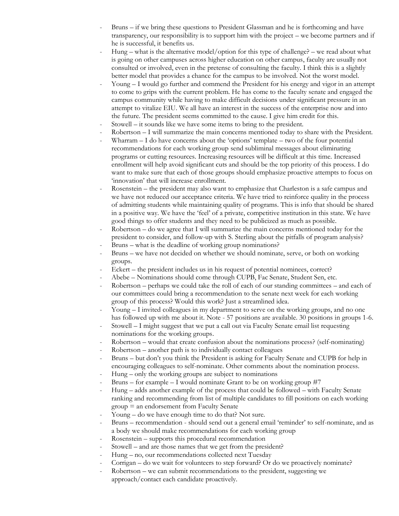- Bruns if we bring these questions to President Glassman and he is forthcoming and have transparency, our responsibility is to support him with the project – we become partners and if he is successful, it benefits us.
- Hung what is the alternative model/option for this type of challenge? we read about what is going on other campuses across higher education on other campus, faculty are usually not consulted or involved, even in the pretense of consulting the faculty. I think this is a slightly better model that provides a chance for the campus to be involved. Not the worst model.
- Young I would go further and commend the President for his energy and vigor in an attempt to come to grips with the current problem. He has come to the faculty senate and engaged the campus community while having to make difficult decisions under significant pressure in an attempt to vitalize EIU. We all have an interest in the success of the enterprise now and into the future. The president seems committed to the cause. I give him credit for this.
- Stowell it sounds like we have some items to bring to the president.
- Robertson I will summarize the main concerns mentioned today to share with the President.
- Wharram  $I$  do have concerns about the 'options' template  $-$  two of the four potential recommendations for each working group send subliminal messages about eliminating programs or cutting resources. Increasing resources will be difficult at this time. Increased enrollment will help avoid significant cuts and should be the top priority of this process. I do want to make sure that each of those groups should emphasize proactive attempts to focus on 'innovation' that will increase enrollment.
- Rosenstein the president may also want to emphasize that Charleston is a safe campus and we have not reduced our acceptance criteria. We have tried to reinforce quality in the process of admitting students while maintaining quality of programs. This is info that should be shared in a positive way. We have the 'feel' of a private, competitive institution in this state. We have good things to offer students and they need to be publicized as much as possible.
- Robertson do we agree that I will summarize the main concerns mentioned today for the president to consider, and follow-up with S. Sterling about the pitfalls of program analysis?
- Bruns what is the deadline of working group nominations? - Bruns – we have not decided on whether we should nominate, serve, or both on working
- groups. Eckert – the president includes us in his request of potential nominees, correct?
- Abebe Nominations should come through CUPB, Fac Senate, Student Sen, etc.
- Robertson perhaps we could take the roll of each of our standing committees and each of our committees could bring a recommendation to the senate next week for each working group of this process? Would this work? Just a streamlined idea.
- Young I invited colleagues in my department to serve on the working groups, and no one has followed up with me about it. Note - 57 positions are available. 30 positions in groups 1-6.
- Stowell I might suggest that we put a call out via Faculty Senate email list requesting nominations for the working groups.
- Robertson would that create confusion about the nominations process? (self-nominating)
- Robertson another path is to individually contact colleagues
- Bruns but don't you think the President is asking for Faculty Senate and CUPB for help in encouraging colleagues to self-nominate. Other comments about the nomination process.
- Hung only the working groups are subject to nominations
- Bruns for example I would nominate Grant to be on working group  $#7$
- Hung adds another example of the process that could be followed with Faculty Senate ranking and recommending from list of multiple candidates to fill positions on each working group = an endorsement from Faculty Senate
- Young do we have enough time to do that? Not sure.
- Bruns recommendation should send out a general email 'reminder' to self-nominate, and as a body we should make recommendations for each working group
- Rosenstein supports this procedural recommendation
- Stowell and are those names that we get from the president?
- Hung no, our recommendations collected next Tuesday
- Corrigan do we wait for volunteers to step forward? Or do we proactively nominate?
- Robertson we can submit recommendations to the president, suggesting we approach/contact each candidate proactively.